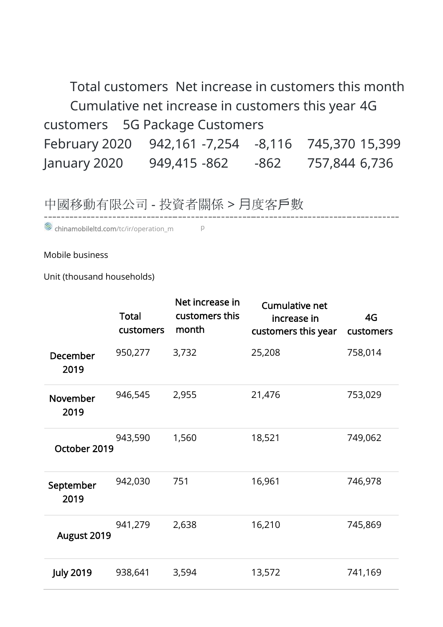Total customers Net increase in customers this month Cumulative net increase in customers this year 4G customers 5G Package Customers February 2020 942,161 -7,254 -8,116 745,370 15,399 January 2020 949,415 -862 -862 757,844 6,736

\_\_\_\_\_\_\_\_\_\_\_\_\_\_\_\_\_\_

## 中國移動有限公司 - 投資者關係 > ⽉度客戶數

chinamobileltd.com/tc/ir/o[p](https://www.chinamobileltd.com/tc/ir/operation_m.php?year=2019&scroll2title=1)eration\_m P

Mobile business

Unit (thousand households)

|                   | <b>Total</b><br>customers | Net increase in<br>customers this<br>month | <b>Cumulative net</b><br>increase in<br>customers this year | 4G<br>customers |
|-------------------|---------------------------|--------------------------------------------|-------------------------------------------------------------|-----------------|
| December<br>2019  | 950,277                   | 3,732                                      | 25,208                                                      | 758,014         |
| November<br>2019  | 946,545                   | 2,955                                      | 21,476                                                      | 753,029         |
| October 2019      | 943,590                   | 1,560                                      | 18,521                                                      | 749,062         |
| September<br>2019 | 942,030                   | 751                                        | 16,961                                                      | 746,978         |
| August 2019       | 941,279                   | 2,638                                      | 16,210                                                      | 745,869         |
| <b>July 2019</b>  | 938,641                   | 3,594                                      | 13,572                                                      | 741,169         |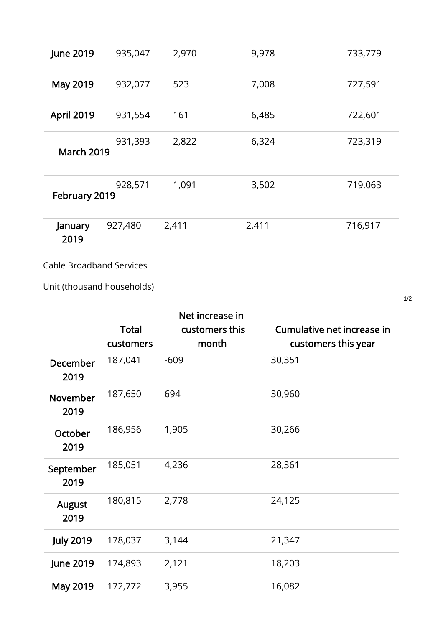| <b>June 2019</b>  | 935,047 | 2,970 | 9,978 | 733,779 |
|-------------------|---------|-------|-------|---------|
| May 2019          | 932,077 | 523   | 7,008 | 727,591 |
| <b>April 2019</b> | 931,554 | 161   | 6,485 | 722,601 |
| <b>March 2019</b> | 931,393 | 2,822 | 6,324 | 723,319 |
| February 2019     | 928,571 | 1,091 | 3,502 | 719,063 |
| January<br>2019   | 927,480 | 2,411 | 2,411 | 716,917 |

Cable Broadband Services

Unit (thousand households)

|                       | <b>Total</b><br>customers | Net increase in<br>customers this<br>month | Cumulative net increase in<br>customers this year |
|-----------------------|---------------------------|--------------------------------------------|---------------------------------------------------|
| December<br>2019      | 187,041                   | $-609$                                     | 30,351                                            |
| November<br>2019      | 187,650                   | 694                                        | 30,960                                            |
| October<br>2019       | 186,956                   | 1,905                                      | 30,266                                            |
| September<br>2019     | 185,051                   | 4,236                                      | 28,361                                            |
| <b>August</b><br>2019 | 180,815                   | 2,778                                      | 24,125                                            |
| <b>July 2019</b>      | 178,037                   | 3,144                                      | 21,347                                            |
| <b>June 2019</b>      | 174,893                   | 2,121                                      | 18,203                                            |
| May 2019              | 172,772                   | 3,955                                      | 16,082                                            |

1/2